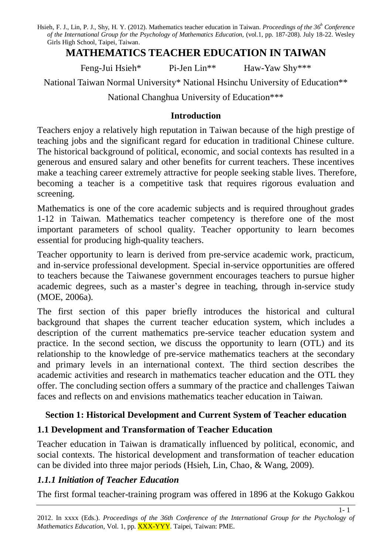# **MATHEMATICS TEACHER EDUCATION IN TAIWAN**

Feng-Jui Hsieh\* Pi-Jen Lin<sup>\*\*</sup> Haw-Yaw Shy<sup>\*\*\*</sup>

National Taiwan Normal University\* National Hsinchu University of Education\*\*

National Changhua University of Education\*\*\*

#### **Introduction**

Teachers enjoy a relatively high reputation in Taiwan because of the high prestige of teaching jobs and the significant regard for education in traditional Chinese culture. The historical background of political, economic, and social contexts has resulted in a generous and ensured salary and other benefits for current teachers. These incentives make a teaching career extremely attractive for people seeking stable lives. Therefore, becoming a teacher is a competitive task that requires rigorous evaluation and screening.

Mathematics is one of the core academic subjects and is required throughout grades 1-12 in Taiwan. Mathematics teacher competency is therefore one of the most important parameters of school quality. Teacher opportunity to learn becomes essential for producing high-quality teachers.

Teacher opportunity to learn is derived from pre-service academic work, practicum, and in-service professional development. Special in-service opportunities are offered to teachers because the Taiwanese government encourages teachers to pursue higher academic degrees, such as a master's degree in teaching, through in-service study (MOE, 2006a).

The first section of this paper briefly introduces the historical and cultural background that shapes the current teacher education system, which includes a description of the current mathematics pre-service teacher education system and practice. In the second section, we discuss the opportunity to learn (OTL) and its relationship to the knowledge of pre-service mathematics teachers at the secondary and primary levels in an international context. The third section describes the academic activities and research in mathematics teacher education and the OTL they offer. The concluding section offers a summary of the practice and challenges Taiwan faces and reflects on and envisions mathematics teacher education in Taiwan.

## **Section 1: Historical Development and Current System of Teacher education**

## **1.1 Development and Transformation of Teacher Education**

Teacher education in Taiwan is dramatically influenced by political, economic, and social contexts. The historical development and transformation of teacher education can be divided into three major periods (Hsieh, Lin, Chao, & Wang, 2009).

## *1.1.1 Initiation of Teacher Education*

The first formal teacher-training program was offered in 1896 at the Kokugo Gakkou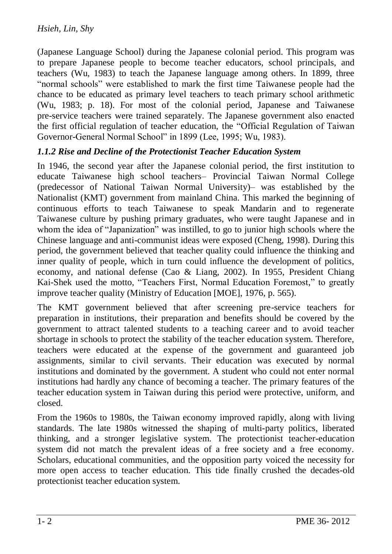(Japanese Language School) during the Japanese colonial period. This program was to prepare Japanese people to become teacher educators, school principals, and teachers (Wu, 1983) to teach the Japanese language among others. In 1899, three "normal schools" were established to mark the first time Taiwanese people had the chance to be educated as primary level teachers to teach primary school arithmetic (Wu, 1983; p. 18). For most of the colonial period, Japanese and Taiwanese pre-service teachers were trained separately. The Japanese government also enacted the first official regulation of teacher education, the "Official Regulation of Taiwan Governor-General Normal School" in 1899 (Lee, 1995; Wu, 1983).

### *1.1.2 Rise and Decline of the Protectionist Teacher Education System*

In 1946, the second year after the Japanese colonial period, the first institution to educate Taiwanese high school teachers– Provincial Taiwan Normal College (predecessor of National Taiwan Normal University)– was established by the Nationalist (KMT) government from mainland China. This marked the beginning of continuous efforts to teach Taiwanese to speak Mandarin and to regenerate Taiwanese culture by pushing primary graduates, who were taught Japanese and in whom the idea of "Japanization" was instilled, to go to junior high schools where the Chinese language and anti-communist ideas were exposed (Cheng, 1998). During this period, the government believed that teacher quality could influence the thinking and inner quality of people, which in turn could influence the development of politics, economy, and national defense (Cao & Liang, 2002). In 1955, President Chiang Kai-Shek used the motto, "Teachers First, Normal Education Foremost," to greatly improve teacher quality (Ministry of Education [MOE], 1976, p. 565).

The KMT government believed that after screening pre-service teachers for preparation in institutions, their preparation and benefits should be covered by the government to attract talented students to a teaching career and to avoid teacher shortage in schools to protect the stability of the teacher education system. Therefore, teachers were educated at the expense of the government and guaranteed job assignments, similar to civil servants. Their education was executed by normal institutions and dominated by the government. A student who could not enter normal institutions had hardly any chance of becoming a teacher. The primary features of the teacher education system in Taiwan during this period were protective, uniform, and closed.

From the 1960s to 1980s, the Taiwan economy improved rapidly, along with living standards. The late 1980s witnessed the shaping of multi-party politics, liberated thinking, and a stronger legislative system. The protectionist teacher-education system did not match the prevalent ideas of a free society and a free economy. Scholars, educational communities, and the opposition party voiced the necessity for more open access to teacher education. This tide finally crushed the decades-old protectionist teacher education system.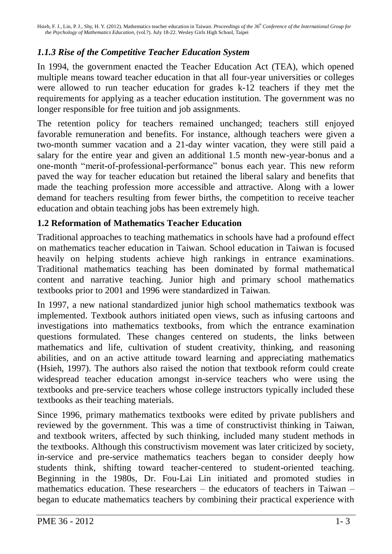# *1.1.3 Rise of the Competitive Teacher Education System*

In 1994, the government enacted the Teacher Education Act (TEA), which opened multiple means toward teacher education in that all four-year universities or colleges were allowed to run teacher education for grades k-12 teachers if they met the requirements for applying as a teacher education institution. The government was no longer responsible for free tuition and job assignments.

The retention policy for teachers remained unchanged; teachers still enjoyed favorable remuneration and benefits. For instance, although teachers were given a two-month summer vacation and a 21-day winter vacation, they were still paid a salary for the entire year and given an additional 1.5 month new-year-bonus and a one-month "merit-of-professional-performance" bonus each year. This new reform paved the way for teacher education but retained the liberal salary and benefits that made the teaching profession more accessible and attractive. Along with a lower demand for teachers resulting from fewer births, the competition to receive teacher education and obtain teaching jobs has been extremely high.

## **1.2 Reformation of Mathematics Teacher Education**

Traditional approaches to teaching mathematics in schools have had a profound effect on mathematics teacher education in Taiwan. School education in Taiwan is focused heavily on helping students achieve high rankings in entrance examinations. Traditional mathematics teaching has been dominated by formal mathematical content and narrative teaching. Junior high and primary school mathematics textbooks prior to 2001 and 1996 were standardized in Taiwan.

In 1997, a new national standardized junior high school mathematics textbook was implemented. Textbook authors initiated open views, such as infusing cartoons and investigations into mathematics textbooks, from which the entrance examination questions formulated. These changes centered on students, the links between mathematics and life, cultivation of student creativity, thinking, and reasoning abilities, and on an active attitude toward learning and appreciating mathematics (Hsieh, 1997). The authors also raised the notion that textbook reform could create widespread teacher education amongst in-service teachers who were using the textbooks and pre-service teachers whose college instructors typically included these textbooks as their teaching materials.

Since 1996, primary mathematics textbooks were edited by private publishers and reviewed by the government. This was a time of constructivist thinking in Taiwan, and textbook writers, affected by such thinking, included many student methods in the textbooks. Although this constructivism movement was later criticized by society, in-service and pre-service mathematics teachers began to consider deeply how students think, shifting toward teacher-centered to student-oriented teaching. Beginning in the 1980s, Dr. Fou-Lai Lin initiated and promoted studies in mathematics education. These researchers – the educators of teachers in Taiwan – began to educate mathematics teachers by combining their practical experience with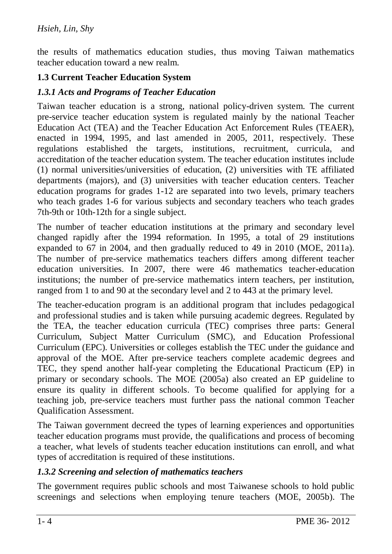the results of mathematics education studies, thus moving Taiwan mathematics teacher education toward a new realm.

#### **1.3 Current Teacher Education System**

#### *1.3.1 Acts and Programs of Teacher Education*

Taiwan teacher education is a strong, national policy-driven system. The current pre-service teacher education system is regulated mainly by the national Teacher Education Act (TEA) and the Teacher Education Act Enforcement Rules (TEAER), enacted in 1994, 1995, and last amended in 2005, 2011, respectively. These regulations established the targets, institutions, recruitment, curricula, and accreditation of the teacher education system. The teacher education institutes include (1) normal universities/universities of education, (2) universities with TE affiliated departments (majors), and (3) universities with teacher education centers. Teacher education programs for grades 1-12 are separated into two levels, primary teachers who teach grades 1-6 for various subjects and secondary teachers who teach grades 7th-9th or 10th-12th for a single subject.

The number of teacher education institutions at the primary and secondary level changed rapidly after the 1994 reformation. In 1995, a total of 29 institutions expanded to 67 in 2004, and then gradually reduced to 49 in 2010 (MOE, 2011a). The number of pre-service mathematics teachers differs among different teacher education universities. In 2007, there were 46 mathematics teacher-education institutions; the number of pre-service mathematics intern teachers, per institution, ranged from 1 to and 90 at the secondary level and 2 to 443 at the primary level.

The teacher-education program is an additional program that includes pedagogical and professional studies and is taken while pursuing academic degrees. Regulated by the TEA, the teacher education curricula (TEC) comprises three parts: General Curriculum, Subject Matter Curriculum (SMC), and Education Professional Curriculum (EPC). Universities or colleges establish the TEC under the guidance and approval of the MOE. After pre-service teachers complete academic degrees and TEC, they spend another half-year completing the Educational Practicum (EP) in primary or secondary schools. The MOE (2005a) also created an EP guideline to ensure its quality in different schools. To become qualified for applying for a teaching job, pre-service teachers must further pass the national common Teacher Qualification Assessment.

The Taiwan government decreed the types of learning experiences and opportunities teacher education programs must provide, the qualifications and process of becoming a teacher, what levels of students teacher education institutions can enroll, and what types of accreditation is required of these institutions.

#### *1.3.2 Screening and selection of mathematics teachers*

The government requires public schools and most Taiwanese schools to hold public screenings and selections when employing tenure teachers (MOE, 2005b). The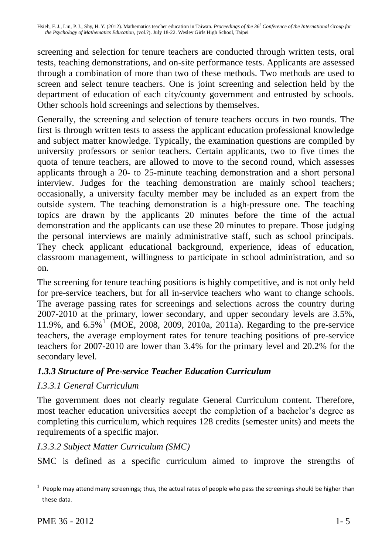screening and selection for tenure teachers are conducted through written tests, oral tests, teaching demonstrations, and on-site performance tests. Applicants are assessed through a combination of more than two of these methods. Two methods are used to screen and select tenure teachers. One is joint screening and selection held by the department of education of each city/county government and entrusted by schools. Other schools hold screenings and selections by themselves.

Generally, the screening and selection of tenure teachers occurs in two rounds. The first is through written tests to assess the applicant education professional knowledge and subject matter knowledge. Typically, the examination questions are compiled by university professors or senior teachers. Certain applicants, two to five times the quota of tenure teachers, are allowed to move to the second round, which assesses applicants through a 20- to 25-minute teaching demonstration and a short personal interview. Judges for the teaching demonstration are mainly school teachers; occasionally, a university faculty member may be included as an expert from the outside system. The teaching demonstration is a high-pressure one. The teaching topics are drawn by the applicants 20 minutes before the time of the actual demonstration and the applicants can use these 20 minutes to prepare. Those judging the personal interviews are mainly administrative staff, such as school principals. They check applicant educational background, experience, ideas of education, classroom management, willingness to participate in school administration, and so on.

The screening for tenure teaching positions is highly competitive, and is not only held for pre-service teachers, but for all in-service teachers who want to change schools. The average passing rates for screenings and selections across the country during 2007-2010 at the primary, lower secondary, and upper secondary levels are 3.5%, 11.9%, and 6.5%<sup>1</sup> (MOE, 2008, 2009, 2010a, 2011a). Regarding to the pre-service teachers, the average employment rates for tenure teaching positions of pre-service teachers for 2007-2010 are lower than 3.4% for the primary level and 20.2% for the secondary level.

## *1.3.3 Structure of Pre-service Teacher Education Curriculum*

## *I.3.3.1 General Curriculum*

The government does not clearly regulate General Curriculum content. Therefore, most teacher education universities accept the completion of a bachelor's degree as completing this curriculum, which requires 128 credits (semester units) and meets the requirements of a specific major.

#### *I.3.3.2 Subject Matter Curriculum (SMC)*

SMC is defined as a specific curriculum aimed to improve the strengths of

 $1$  People may attend many screenings; thus, the actual rates of people who pass the screenings should be higher than these data.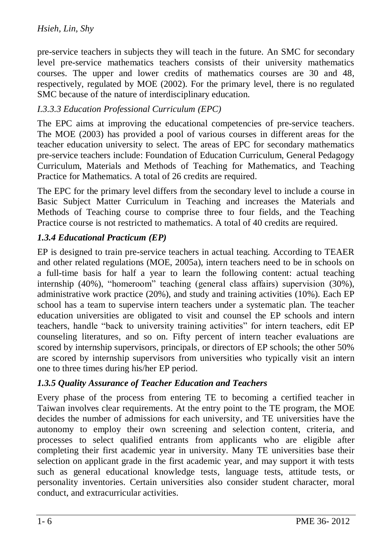pre-service teachers in subjects they will teach in the future. An SMC for secondary level pre-service mathematics teachers consists of their university mathematics courses. The upper and lower credits of mathematics courses are 30 and 48, respectively, regulated by MOE (2002). For the primary level, there is no regulated SMC because of the nature of interdisciplinary education.

### *I.3.3.3 Education Professional Curriculum (EPC)*

The EPC aims at improving the educational competencies of pre-service teachers. The MOE (2003) has provided a pool of various courses in different areas for the teacher education university to select. The areas of EPC for secondary mathematics pre-service teachers include: Foundation of Education Curriculum, General Pedagogy Curriculum, Materials and Methods of Teaching for Mathematics, and Teaching Practice for Mathematics. A total of 26 credits are required.

The EPC for the primary level differs from the secondary level to include a course in Basic Subject Matter Curriculum in Teaching and increases the Materials and Methods of Teaching course to comprise three to four fields, and the Teaching Practice course is not restricted to mathematics. A total of 40 credits are required.

### *1.3.4 Educational Practicum (EP)*

EP is designed to train pre-service teachers in actual teaching. According to TEAER and other related regulations (MOE, 2005a), intern teachers need to be in schools on a full-time basis for half a year to learn the following content: actual teaching internship (40%), "homeroom" teaching (general class affairs) supervision (30%), administrative work practice (20%), and study and training activities (10%). Each EP school has a team to supervise intern teachers under a systematic plan. The teacher education universities are obligated to visit and counsel the EP schools and intern teachers, handle "back to university training activities" for intern teachers, edit EP counseling literatures, and so on. Fifty percent of intern teacher evaluations are scored by internship supervisors, principals, or directors of EP schools; the other 50% are scored by internship supervisors from universities who typically visit an intern one to three times during his/her EP period.

#### *1.3.5 Quality Assurance of Teacher Education and Teachers*

Every phase of the process from entering TE to becoming a certified teacher in Taiwan involves clear requirements. At the entry point to the TE program, the MOE decides the number of admissions for each university, and TE universities have the autonomy to employ their own screening and selection content, criteria, and processes to select qualified entrants from applicants who are eligible after completing their first academic year in university. Many TE universities base their selection on applicant grade in the first academic year, and may support it with tests such as general educational knowledge tests, language tests, attitude tests, or personality inventories. Certain universities also consider student character, moral conduct, and extracurricular activities.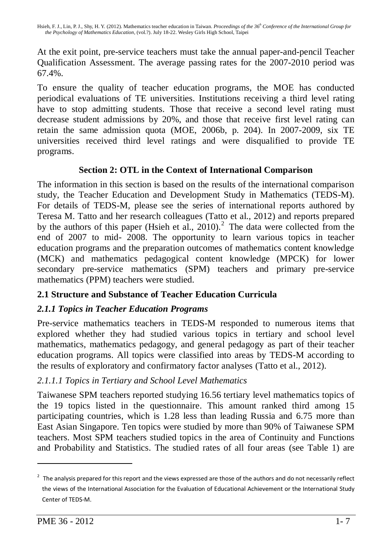At the exit point, pre-service teachers must take the annual paper-and-pencil Teacher Qualification Assessment. The average passing rates for the 2007-2010 period was 67.4%.

To ensure the quality of teacher education programs, the MOE has conducted periodical evaluations of TE universities. Institutions receiving a third level rating have to stop admitting students. Those that receive a second level rating must decrease student admissions by 20%, and those that receive first level rating can retain the same admission quota (MOE, 2006b, p. 204). In 2007-2009, six TE universities received third level ratings and were disqualified to provide TE programs.

#### **Section 2: OTL in the Context of International Comparison**

The information in this section is based on the results of the international comparison study, the Teacher Education and Development Study in Mathematics (TEDS-M). For details of TEDS-M, please see the series of international reports authored by Teresa M. Tatto and her research colleagues (Tatto et al., 2012) and reports prepared by the authors of this paper (Hsieh et al.,  $2010$ ).<sup>2</sup> The data were collected from the end of 2007 to mid- 2008. The opportunity to learn various topics in teacher education programs and the preparation outcomes of mathematics content knowledge (MCK) and mathematics pedagogical content knowledge (MPCK) for lower secondary pre-service mathematics (SPM) teachers and primary pre-service mathematics (PPM) teachers were studied.

## **2.1 Structure and Substance of Teacher Education Curricula**

#### *2.1.1 Topics in Teacher Education Programs*

Pre-service mathematics teachers in TEDS-M responded to numerous items that explored whether they had studied various topics in tertiary and school level mathematics, mathematics pedagogy, and general pedagogy as part of their teacher education programs. All topics were classified into areas by TEDS-M according to the results of exploratory and confirmatory factor analyses (Tatto et al., 2012).

#### *2.1.1.1 Topics in Tertiary and School Level Mathematics*

Taiwanese SPM teachers reported studying 16.56 tertiary level mathematics topics of the 19 topics listed in the questionnaire. This amount ranked third among 15 participating countries, which is 1.28 less than leading Russia and 6.75 more than East Asian Singapore. Ten topics were studied by more than 90% of Taiwanese SPM teachers. Most SPM teachers studied topics in the area of Continuity and Functions and Probability and Statistics. The studied rates of all four areas (see Table 1) are

 $2$  The analysis prepared for this report and the views expressed are those of the authors and do not necessarily reflect the views of the International Association for the Evaluation of Educational Achievement or the International Study Center of TEDS-M.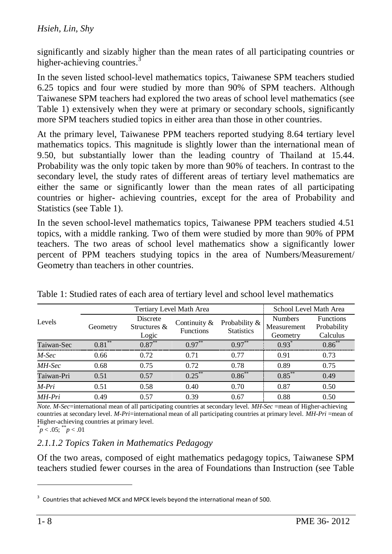#### *Hsieh, Lin, Shy*

significantly and sizably higher than the mean rates of all participating countries or higher-achieving countries.<sup>3</sup>

In the seven listed school-level mathematics topics, Taiwanese SPM teachers studied 6.25 topics and four were studied by more than 90% of SPM teachers. Although Taiwanese SPM teachers had explored the two areas of school level mathematics (see Table 1) extensively when they were at primary or secondary schools, significantly more SPM teachers studied topics in either area than those in other countries.

At the primary level, Taiwanese PPM teachers reported studying 8.64 tertiary level mathematics topics. This magnitude is slightly lower than the international mean of 9.50, but substantially lower than the leading country of Thailand at 15.44. Probability was the only topic taken by more than 90% of teachers. In contrast to the secondary level, the study rates of different areas of tertiary level mathematics are either the same or significantly lower than the mean rates of all participating countries or higher- achieving countries, except for the area of Probability and Statistics (see Table 1).

In the seven school-level mathematics topics, Taiwanese PPM teachers studied 4.51 topics, with a middle ranking. Two of them were studied by more than 90% of PPM teachers. The two areas of school level mathematics show a significantly lower percent of PPM teachers studying topics in the area of Numbers/Measurement/ Geometry than teachers in other countries.

|            |           | Tertiary Level Math Area             | School Level Math Area              |                                    |                                           |                                             |
|------------|-----------|--------------------------------------|-------------------------------------|------------------------------------|-------------------------------------------|---------------------------------------------|
| Levels     | Geometry  | Discrete<br>Structures $\&$<br>Logic | Continuity $\&$<br><b>Functions</b> | Probability &<br><b>Statistics</b> | <b>Numbers</b><br>Measurement<br>Geometry | <b>Functions</b><br>Probability<br>Calculus |
| Taiwan-Sec | $0.81***$ | $0.87***$                            | $0.97***$                           | $0.97***$                          | $0.93^*$                                  | $0.86^{**}$                                 |
| $M-Sec$    | 0.66      | 0.72                                 | 0.71                                | 0.77                               | 0.91                                      | 0.73                                        |
| MH-Sec     | 0.68      | 0.75                                 | 0.72                                | 0.78                               | 0.89                                      | 0.75                                        |
| Taiwan-Pri | 0.51      | 0.57                                 | $0.25***$                           | $0.86***$                          | $0.85***$                                 | 0.49                                        |
| $M-Pri$    | 0.51      | 0.58                                 | 0.40                                | 0.70                               | 0.87                                      | 0.50                                        |
| MH-Pri     | 0.49      | 0.57                                 | 0.39                                | 0.67                               | 0.88                                      | 0.50                                        |

Table 1: Studied rates of each area of tertiary level and school level mathematics

*Note*. *M-Sec*=international mean of all participating countries at secondary level. *MH-Sec* =mean of Higher-achieving countries at secondary level. *M-Pri*=international mean of all participating countries at primary level. *MH-Pri* =mean of Higher-achieving countries at primary level.

#### $p < .05$ ;  $p < .01$

#### *2.1.1.2 Topics Taken in Mathematics Pedagogy*

Of the two areas, composed of eight mathematics pedagogy topics, Taiwanese SPM teachers studied fewer courses in the area of Foundations than Instruction (see Table

 $\overline{a}$ 

 $3$  Countries that achieved MCK and MPCK levels beyond the international mean of 500.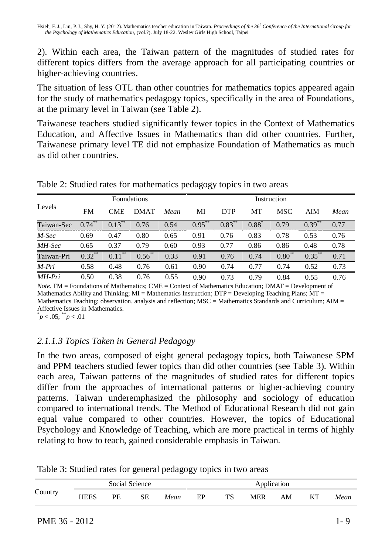2). Within each area, the Taiwan pattern of the magnitudes of studied rates for different topics differs from the average approach for all participating countries or higher-achieving countries.

The situation of less OTL than other countries for mathematics topics appeared again for the study of mathematics pedagogy topics, specifically in the area of Foundations, at the primary level in Taiwan (see Table 2).

Taiwanese teachers studied significantly fewer topics in the Context of Mathematics Education, and Affective Issues in Mathematics than did other countries. Further, Taiwanese primary level TE did not emphasize Foundation of Mathematics as much as did other countries.

|            |           |            | <b>Foundations</b> |      |           | Instruction |         |            |           |      |  |  |
|------------|-----------|------------|--------------------|------|-----------|-------------|---------|------------|-----------|------|--|--|
| Levels     | <b>FM</b> | <b>CME</b> | <b>DMAT</b>        | Mean | MI        | <b>DTP</b>  | MT      | <b>MSC</b> | AIM       | Mean |  |  |
| Taiwan-Sec | $0.74***$ | $0.13***$  | 0.76               | 0.54 | $0.95***$ | $0.83***$   | $0.88*$ | 0.79       | $0.39***$ | 0.77 |  |  |
| $M-Sec$    | 0.69      | 0.47       | 0.80               | 0.65 | 0.91      | 0.76        | 0.83    | 0.78       | 0.53      | 0.76 |  |  |
| MH-Sec     | 0.65      | 0.37       | 0.79               | 0.60 | 0.93      | 0.77        | 0.86    | 0.86       | 0.48      | 0.78 |  |  |
| Taiwan-Pri | $0.32***$ | $0.11***$  | $0.56***$          | 0.33 | 0.91      | 0.76        | 0.74    | $0.80***$  | $0.35***$ | 0.71 |  |  |
| $M-Pri$    | 0.58      | 0.48       | 0.76               | 0.61 | 0.90      | 0.74        | 0.77    | 0.74       | 0.52      | 0.73 |  |  |
| MH-Pri     | 0.50      | 0.38       | 0.76               | 0.55 | 0.90      | 0.73        | 0.79    | 0.84       | 0.55      | 0.76 |  |  |

Table 2: Studied rates for mathematics pedagogy topics in two areas

*Note.* FM = Foundations of Mathematics; CME = Context of Mathematics Education; DMAT = Development of Mathematics Ability and Thinking:  $MI = Mathematics$  Instruction:  $DTP = Development$  Teaching Plans:  $MT =$ Mathematics Teaching: observation, analysis and reflection; MSC = Mathematics Standards and Curriculum; AIM = Affective Issues in Mathematics.

 $p < .05$ ;  $p < .01$ 

## *2.1.1.3 Topics Taken in General Pedagogy*

In the two areas, composed of eight general pedagogy topics, both Taiwanese SPM and PPM teachers studied fewer topics than did other countries (see Table 3). Within each area, Taiwan patterns of the magnitudes of studied rates for different topics differ from the approaches of international patterns or higher-achieving country patterns. Taiwan underemphasized the philosophy and sociology of education compared to international trends. The Method of Educational Research did not gain equal value compared to other countries. However, the topics of Educational Psychology and Knowledge of Teaching, which are more practical in terms of highly relating to how to teach, gained considerable emphasis in Taiwan.

| Table 3: Studied rates for general pedagogy topics in two areas |  |  |
|-----------------------------------------------------------------|--|--|

| <b>HEES</b><br>PF<br>SЕ<br>TS<br>EP<br><b>MER</b><br>KТ<br>ΑM<br>Mean |         |  | Social Science | Application |  |  |  |  |      |
|-----------------------------------------------------------------------|---------|--|----------------|-------------|--|--|--|--|------|
|                                                                       | Country |  |                |             |  |  |  |  | Mean |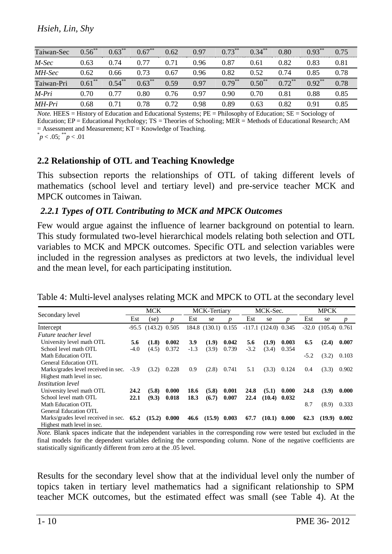| Taiwan-Sec | $0.56^{**}$ | $0.63***$ | $0.67$ ** | 0.62 | 0.97 | $0.73***$         | $0.34***$   | 0.80                 | $0.93***$            | 0.75 |
|------------|-------------|-----------|-----------|------|------|-------------------|-------------|----------------------|----------------------|------|
| M-Sec      | 0.63        | 0.74      | 0.77      | 0.71 | 0.96 | 0.87              | 0.61        | 0.82                 | 0.83                 | 0.81 |
| MH-Sec     | 0.62        | 0.66      | 0.73      | 0.67 | 0.96 | 0.82              | 0.52        | 0.74                 | 0.85                 | 0.78 |
| Taiwan-Pri | **<br>0.61  | $0.54$ ** | $0.63***$ | 0.59 | 0.97 | $0.79***$         | $0.50^{**}$ | $0.72$ <sup>**</sup> | $0.92$ <sup>**</sup> | 0.78 |
| M-Pri      | 0.70        | 0.77      | 0.80      | 0.76 | 0.97 | 0.90 <sub>1</sub> | 0.70        | 0.81                 | 0.88                 | 0.85 |
| MH-Pri     | 0.68        | 0.71      | 0.78      | 0.72 | 0.98 | 0.89              | 0.63        | 0.82                 | 0.91                 | 0.85 |

*Note.* HEES = History of Education and Educational Systems; PE = Philosophy of Education; SE = Sociology of Education; EP = Educational Psychology; TS = Theories of Schooling; MER = Methods of Educational Research; AM  $=$  Assessment and Measurement;  $KT =$  Knowledge of Teaching.  $p < .05$ ;  $p < .01$ 

#### **2.2 Relationship of OTL and Teaching Knowledge**

This subsection reports the relationships of OTL of taking different levels of mathematics (school level and tertiary level) and pre-service teacher MCK and MPCK outcomes in Taiwan.

#### *2.2.1 Types of OTL Contributing to MCK and MPCK Outcomes*

Few would argue against the influence of learner background on potential to learn. This study formulated two-level hierarchical models relating both selection and OTL variables to MCK and MPCK outcomes. Specific OTL and selection variables were included in the regression analyses as predictors at two levels, the individual level and the mean level, for each participating institution.

|                                     |        | <b>MCK</b>              |       |        | <b>MCK-Tertiary</b> |       |        | MCK-Sec.               |       |        | <b>MPCK</b>               |       |
|-------------------------------------|--------|-------------------------|-------|--------|---------------------|-------|--------|------------------------|-------|--------|---------------------------|-------|
| Secondary level                     | Est    | (se)                    | n     | Est    | se                  | n     | Est    | se                     |       | Est    | se                        | p     |
| Intercept                           |        | $-95.5$ $(143.2)$ 0.505 |       |        | 184.8 (130.1) 0.155 |       |        | $-117.1$ (124.0) 0.345 |       |        | $-32.0$ $(105.4)$ $0.761$ |       |
| Future teacher level                |        |                         |       |        |                     |       |        |                        |       |        |                           |       |
| University level math OTL           | 5.6    | (1.8)                   | 0.002 | 3.9    | (1.9)               | 0.042 | 5.6    | (1.9)                  | 0.003 | 6.5    | (2.4)                     | 0.007 |
| School level math OTL               | $-4.0$ | (4.5)                   | 0.372 | $-1.3$ | (3.9)               | 0.739 | $-3.2$ | (3.4)                  | 0.354 |        |                           |       |
| Math Education OTL                  |        |                         |       |        |                     |       |        |                        |       | $-5.2$ | (3.2)                     | 0.103 |
| <b>General Education OTL</b>        |        |                         |       |        |                     |       |        |                        |       |        |                           |       |
| Marks/grades level received in sec. | $-3.9$ | (3.2)                   | 0.228 | 0.9    | (2.8)               | 0.741 | 5.1    | (3.3)                  | 0.124 | 0.4    | (3.3)                     | 0.902 |
| Highest math level in sec.          |        |                         |       |        |                     |       |        |                        |       |        |                           |       |
| <i>Institution level</i>            |        |                         |       |        |                     |       |        |                        |       |        |                           |       |
| University level math OTL           | 24.2   | (5.8)                   | 0.000 | 18.6   | (5.8)               | 0.001 | 24.8   | (5.1)                  | 0.000 | 24.8   | (3.9)                     | 0.000 |
| School level math OTL               | 22.1   | (9.3)                   | 0.018 | 18.3   | (6.7)               | 0.007 | 22.4   | $(10.4)$ 0.032         |       |        |                           |       |
| Math Education OTL                  |        |                         |       |        |                     |       |        |                        |       | 8.7    | (8.9)                     | 0.333 |
| <b>General Education OTL</b>        |        |                         |       |        |                     |       |        |                        |       |        |                           |       |
| Marks/grades level received in sec. | 65.2   | $(15.2)$ 0.000          |       | 46.6   | $(15.9)$ 0.003      |       | 67.7   | (10.1)                 | 0.000 | 62.3   | (19.9)                    | 0.002 |
| Highest math level in sec.          |        |                         |       |        |                     |       |        |                        |       |        |                           |       |

Table 4: Multi-level analyses relating MCK and MPCK to OTL at the secondary level

*Note.* Blank spaces indicate that the independent variables in the corresponding row were tested but excluded in the final models for the dependent variables defining the corresponding column. None of the negative coefficients are statistically significantly different from zero at the .05 level.

Results for the secondary level show that at the individual level only the number of topics taken in tertiary level mathematics had a significant relationship to SPM teacher MCK outcomes, but the estimated effect was small (see Table 4). At the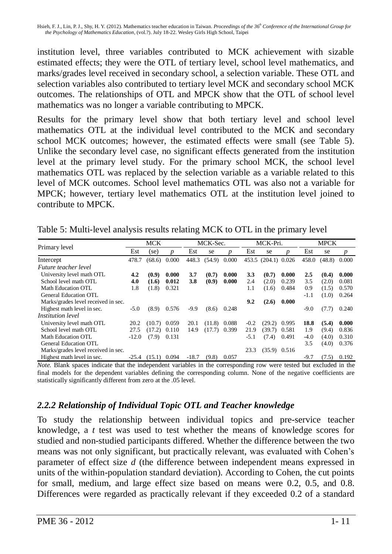institution level, three variables contributed to MCK achievement with sizable estimated effects; they were the OTL of tertiary level, school level mathematics, and marks/grades level received in secondary school, a selection variable. These OTL and selection variables also contributed to tertiary level MCK and secondary school MCK outcomes. The relationships of OTL and MPCK show that the OTL of school level mathematics was no longer a variable contributing to MPCK.

Results for the primary level show that both tertiary level and school level mathematics OTL at the individual level contributed to the MCK and secondary school MCK outcomes; however, the estimated effects were small (see Table 5). Unlike the secondary level case, no significant effects generated from the institution level at the primary level study. For the primary school MCK, the school level mathematics OTL was replaced by the selection variable as a variable related to this level of MCK outcomes. School level mathematics OTL was also not a variable for MPCK; however, tertiary level mathematics OTL at the institution level joined to contribute to MPCK.

| Table 5: Multi-level analysis results relating MCK to OTL in the primary level |            |          |          |             |
|--------------------------------------------------------------------------------|------------|----------|----------|-------------|
| _ _ _                                                                          | <b>MCK</b> | MCK-Sec. | MCK-Pri. | <b>MPCK</b> |

|                                     |         | <b>MCK</b> |                  |         | MCK-Sec. |                  |               | MCK-Pri.            |       |        | <b>MPCK</b> |                  |  |
|-------------------------------------|---------|------------|------------------|---------|----------|------------------|---------------|---------------------|-------|--------|-------------|------------------|--|
| Primary level                       | Est     | (se)       | $\boldsymbol{p}$ | Est     | se       | $\boldsymbol{p}$ | Est           | se                  | n     | Est    | se          | $\boldsymbol{p}$ |  |
| Intercept                           | 478.7   | (68.6)     | 0.000            | 448.3   | (54.9)   | 0.000            |               | 453.5 (204.1) 0.026 |       | 458.0  | (48.8)      | 0.000            |  |
| Future teacher level                |         |            |                  |         |          |                  |               |                     |       |        |             |                  |  |
| University level math OTL           | 4.2     | (0.9)      | 0.000            | 3.7     | (0.7)    | 0.000            | 3.3           | (0.7)               | 0.000 | 2.5    | (0.4)       | 0.000            |  |
| School level math OTL               | 4.0     | (1.6)      | 0.012            | 3.8     | (0.9)    | 0.000            | 2.4           | (2.0)               | 0.239 | 3.5    | (2.0)       | 0.081            |  |
| Math Education OTL                  | 1.8     | (1.8)      | 0.321            |         |          |                  | 1.1           | (1.6)               | 0.484 | 0.9    | (1.5)       | 0.570            |  |
| General Education OTL               |         |            |                  |         |          |                  |               |                     |       | $-1.1$ | (1.0)       | 0.264            |  |
| Marks/grades level received in sec. |         |            |                  |         |          |                  | $9.2^{\circ}$ | (2.6)               | 0.000 |        |             |                  |  |
| Highest math level in sec.          | $-5.0$  | (8.9)      | 0.576            | $-9.9$  | (8.6)    | 0.248            |               |                     |       | $-9.0$ | (7.7)       | 0.240            |  |
| <i>Institution level</i>            |         |            |                  |         |          |                  |               |                     |       |        |             |                  |  |
| University level math OTL           | 20.2    | (10.7)     | 0.059            | 20.1    | (11.8)   | 0.088            | $-0.2$        | $(29.2)$ 0.995      |       | 18.8   | (5.4)       | 0.000            |  |
| School level math OTL               | 27.5    | (17.2)     | 0.110            | 14.9    |          | $(17.7)$ 0.399   | 21.9          | $(39.7)$ 0.581      |       | 1.9    | (9.4)       | 0.836            |  |
| Math Education OTL                  | $-12.0$ | (7.9)      | 0.131            |         |          |                  | $-5.1$        | (7.4)               | 0.491 | $-4.0$ | (4.0)       | 0.310            |  |
| General Education OTL               |         |            |                  |         |          |                  |               |                     |       | 3.5    | (4.0)       | 0.376            |  |
| Marks/grades level received in sec. |         |            |                  |         |          |                  | 23.3          | $(35.9)$ 0.516      |       |        |             |                  |  |
| Highest math level in sec.          | $-25.4$ | (15.1)     | 0.094            | $-18.7$ | (9.8)    | 0.057            |               |                     |       | $-9.7$ | (7.5)       | 0.192            |  |

*Note.* Blank spaces indicate that the independent variables in the corresponding row were tested but excluded in the final models for the dependent variables defining the corresponding column. None of the negative coefficients are statistically significantly different from zero at the .05 level.

## *2.2.2 Relationship of Individual Topic OTL and Teacher knowledge*

To study the relationship between individual topics and pre-service teacher knowledge, a *t* test was used to test whether the means of knowledge scores for studied and non-studied participants differed. Whether the difference between the two means was not only significant, but practically relevant, was evaluated with Cohen's parameter of effect size *d* (the difference between independent means expressed in units of the within-population standard deviation). According to Cohen, the cut points for small, medium, and large effect size based on means were 0.2, 0.5, and 0.8. Differences were regarded as practically relevant if they exceeded 0.2 of a standard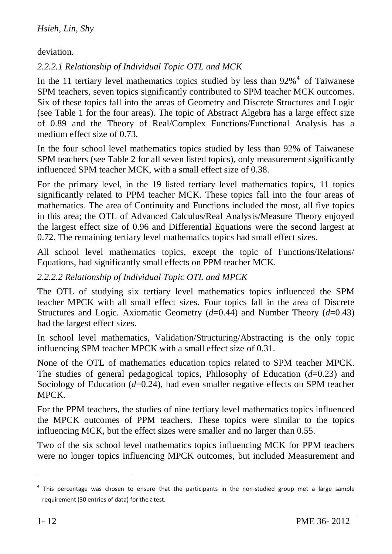deviation.

## *2.2.2.1 Relationship of Individual Topic OTL and MCK*

In the 11 tertiary level mathematics topics studied by less than  $92\%$ <sup>4</sup> of Taiwanese SPM teachers, seven topics significantly contributed to SPM teacher MCK outcomes. Six of these topics fall into the areas of Geometry and Discrete Structures and Logic (see Table 1 for the four areas). The topic of Abstract Algebra has a large effect size of 0.89 and the Theory of Real/Complex Functions/Functional Analysis has a medium effect size of 0.73.

In the four school level mathematics topics studied by less than 92% of Taiwanese SPM teachers (see Table 2 for all seven listed topics), only measurement significantly influenced SPM teacher MCK, with a small effect size of 0.38.

For the primary level, in the 19 listed tertiary level mathematics topics, 11 topics significantly related to PPM teacher MCK. These topics fall into the four areas of mathematics. The area of Continuity and Functions included the most, all five topics in this area; the OTL of Advanced Calculus/Real Analysis/Measure Theory enjoyed the largest effect size of 0.96 and Differential Equations were the second largest at 0.72. The remaining tertiary level mathematics topics had small effect sizes.

All school level mathematics topics, except the topic of Functions/Relations/ Equations, had significantly small effects on PPM teacher MCK.

#### *2.2.2.2 Relationship of Individual Topic OTL and MPCK*

The OTL of studying six tertiary level mathematics topics influenced the SPM teacher MPCK with all small effect sizes. Four topics fall in the area of Discrete Structures and Logic. Axiomatic Geometry (*d*=0.44) and Number Theory (*d*=0.43) had the largest effect sizes.

In school level mathematics, Validation/Structuring/Abstracting is the only topic influencing SPM teacher MPCK with a small effect size of 0.31.

None of the OTL of mathematics education topics related to SPM teacher MPCK. The studies of general pedagogical topics, Philosophy of Education (*d*=0.23) and Sociology of Education (*d*=0.24), had even smaller negative effects on SPM teacher MPCK.

For the PPM teachers, the studies of nine tertiary level mathematics topics influenced the MPCK outcomes of PPM teachers. These topics were similar to the topics influencing MCK, but the effect sizes were smaller and no larger than 0.55.

Two of the six school level mathematics topics influencing MCK for PPM teachers were no longer topics influencing MPCK outcomes, but included Measurement and

<sup>&</sup>lt;sup>4</sup> This percentage was chosen to ensure that the participants in the non-studied group met a large sample requirement (30 entries of data) for the *t* test.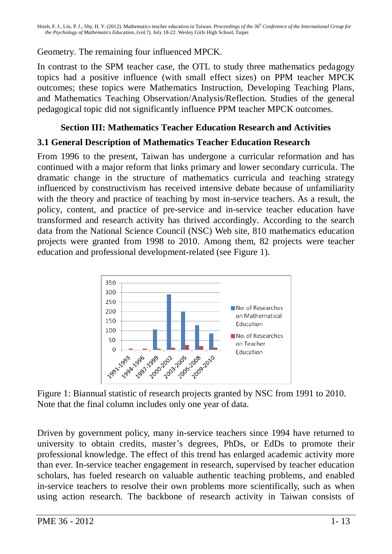Geometry. The remaining four influenced MPCK.

In contrast to the SPM teacher case, the OTL to study three mathematics pedagogy topics had a positive influence (with small effect sizes) on PPM teacher MPCK outcomes; these topics were Mathematics Instruction, Developing Teaching Plans, and Mathematics Teaching Observation/Analysis/Reflection. Studies of the general pedagogical topic did not significantly influence PPM teacher MPCK outcomes.

## **Section III: Mathematics Teacher Education Research and Activities**

### **3.1 General Description of Mathematics Teacher Education Research**

From 1996 to the present, Taiwan has undergone a curricular reformation and has continued with a major reform that links primary and lower secondary curricula. The dramatic change in the structure of mathematics curricula and teaching strategy influenced by constructivism has received intensive debate because of unfamiliarity with the theory and practice of teaching by most in-service teachers. As a result, the policy, content, and practice of pre-service and in-service teacher education have transformed and research activity has thrived accordingly. According to the search data from the National Science Council (NSC) Web site, 810 mathematics education projects were granted from 1998 to 2010. Among them, 82 projects were teacher education and professional development-related (see Figure 1).



Figure 1: Biannual statistic of research projects granted by NSC from 1991 to 2010. Note that the final column includes only one year of data.

Driven by government policy, many in-service teachers since 1994 have returned to university to obtain credits, master's degrees, PhDs, or EdDs to promote their professional knowledge. The effect of this trend has enlarged academic activity more than ever. In-service teacher engagement in research, supervised by teacher education scholars, has fueled research on valuable authentic teaching problems, and enabled in-service teachers to resolve their own problems more scientifically, such as when using action research. The backbone of research activity in Taiwan consists of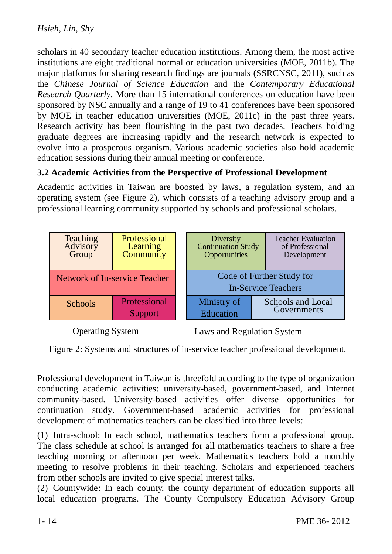scholars in 40 secondary teacher education institutions. Among them, the most active institutions are eight traditional normal or education universities (MOE, 2011b). The major platforms for sharing research findings are journals (SSRCNSC, 2011), such as the *Chinese Journal of Science Education* and the *Contemporary Educational Research Quarterly*. More than 15 international conferences on education have been sponsored by NSC annually and a range of 19 to 41 conferences have been sponsored by MOE in teacher education universities (MOE, 2011c) in the past three years. Research activity has been flourishing in the past two decades. Teachers holding graduate degrees are increasing rapidly and the research network is expected to evolve into a prosperous organism. Various academic societies also hold academic education sessions during their annual meeting or conference.

### **3.2 Academic Activities from the Perspective of Professional Development**

Academic activities in Taiwan are boosted by laws, a regulation system, and an operating system (see Figure 2), which consists of a teaching advisory group and a professional learning community supported by schools and professional scholars.



Operating System

Laws and Regulation System

Figure 2: Systems and structures of in-service teacher professional development.

Professional development in Taiwan is threefold according to the type of organization conducting academic activities: university-based, government-based, and Internet community-based. University-based activities offer diverse opportunities for continuation study. Government-based academic activities for professional development of mathematics teachers can be classified into three levels:

(1) Intra-school: In each school, mathematics teachers form a professional group. The class schedule at school is arranged for all mathematics teachers to share a free teaching morning or afternoon per week. Mathematics teachers hold a monthly meeting to resolve problems in their teaching. Scholars and experienced teachers from other schools are invited to give special interest talks.

(2) Countywide: In each county, the county department of education supports all local education programs. The County Compulsory Education Advisory Group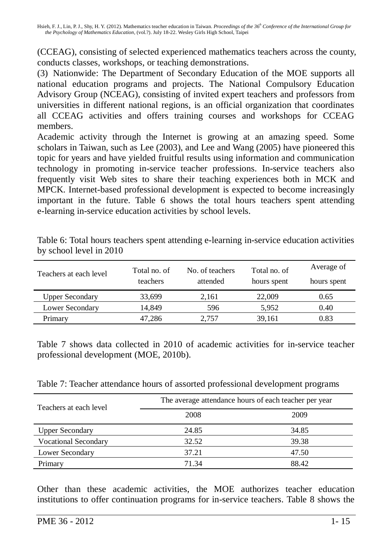(CCEAG), consisting of selected experienced mathematics teachers across the county, conducts classes, workshops, or teaching demonstrations.

(3) Nationwide: The Department of Secondary Education of the MOE supports all national education programs and projects. The National Compulsory Education Advisory Group (NCEAG), consisting of invited expert teachers and professors from universities in different national regions, is an official organization that coordinates all CCEAG activities and offers training courses and workshops for CCEAG members.

Academic activity through the Internet is growing at an amazing speed. Some scholars in Taiwan, such as Lee (2003), and Lee and Wang (2005) have pioneered this topic for years and have yielded fruitful results using information and communication technology in promoting in-service teacher professions. In-service teachers also frequently visit Web sites to share their teaching experiences both in MCK and MPCK. Internet-based professional development is expected to become increasingly important in the future. Table 6 shows the total hours teachers spent attending e-learning in-service education activities by school levels.

| Teachers at each level | Total no. of    | No. of teachers | Total no. of | Average of  |
|------------------------|-----------------|-----------------|--------------|-------------|
|                        | <b>teachers</b> | attended        | hours spent  | hours spent |
| <b>Upper Secondary</b> | 33,699          | 2,161           | 22,009       | 0.65        |
| Lower Secondary        | 14,849          | 596             | 5,952        | 0.40        |
| Primary                | 47,286          | 2.757           | 39,161       | 0.83        |

Table 6: Total hours teachers spent attending e-learning in-service education activities by school level in 2010

Table 7 shows data collected in 2010 of academic activities for in-service teacher professional development (MOE, 2010b).

| Teachers at each level      | The average attendance hours of each teacher per year |       |  |  |  |  |  |
|-----------------------------|-------------------------------------------------------|-------|--|--|--|--|--|
|                             | 2008                                                  | 2009  |  |  |  |  |  |
| <b>Upper Secondary</b>      | 24.85                                                 | 34.85 |  |  |  |  |  |
| <b>Vocational Secondary</b> | 32.52                                                 | 39.38 |  |  |  |  |  |
| Lower Secondary             | 37.21                                                 | 47.50 |  |  |  |  |  |
| Primary                     | 71.34                                                 | 88.42 |  |  |  |  |  |

Other than these academic activities, the MOE authorizes teacher education institutions to offer continuation programs for in-service teachers. Table 8 shows the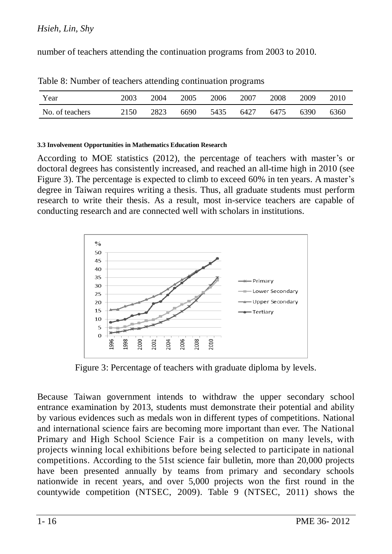#### *Hsieh, Lin, Shy*

number of teachers attending the continuation programs from 2003 to 2010.

| Year            | 2003 | 2004 | 2005 | 2006 | 2007 | 2008 | 2009 | 2010 |
|-----------------|------|------|------|------|------|------|------|------|
| No. of teachers | 2150 | 2823 | 6690 | 5435 | 6427 | 6475 | 6390 | 6360 |

Table 8: Number of teachers attending continuation programs

#### **3.3 Involvement Opportunities in Mathematics Education Research**

According to MOE statistics (2012), the percentage of teachers with master's or doctoral degrees has consistently increased, and reached an all-time high in 2010 (see Figure 3). The percentage is expected to climb to exceed 60% in ten years. A master's degree in Taiwan requires writing a thesis. Thus, all graduate students must perform research to write their thesis. As a result, most in-service teachers are capable of conducting research and are connected well with scholars in institutions.



Figure 3: Percentage of teachers with graduate diploma by levels.

Because Taiwan government intends to withdraw the upper secondary school entrance examination by 2013, students must demonstrate their potential and ability by various evidences such as medals won in different types of competitions. National and international science fairs are becoming more important than ever. The National Primary and High School Science Fair is a competition on many levels, with projects winning local exhibitions before being selected to participate in national competitions. According to the 51st science fair bulletin, more than 20,000 projects have been presented annually by teams from primary and secondary schools nationwide in recent years, and over 5,000 projects won the first round in the countywide competition (NTSEC, 2009). Table 9 (NTSEC, 2011) shows the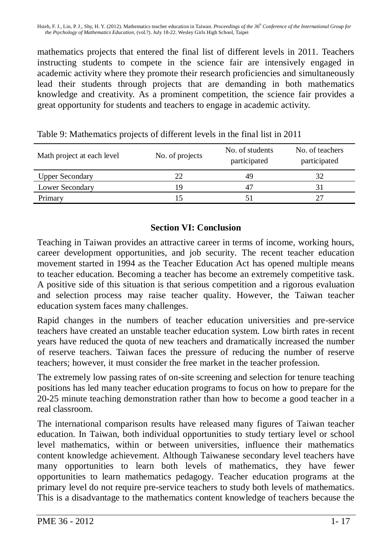mathematics projects that entered the final list of different levels in 2011. Teachers instructing students to compete in the science fair are intensively engaged in academic activity where they promote their research proficiencies and simultaneously lead their students through projects that are demanding in both mathematics knowledge and creativity. As a prominent competition, the science fair provides a great opportunity for students and teachers to engage in academic activity.

| Math project at each level | No. of projects | No. of students<br>participated | No. of teachers<br>participated |
|----------------------------|-----------------|---------------------------------|---------------------------------|
| <b>Upper Secondary</b>     | 22              | 49                              | 32                              |
| Lower Secondary            | ١q              | $4^{\circ}$                     | 31                              |
| Primary                    |                 |                                 |                                 |

Table 9: Mathematics projects of different levels in the final list in 2011

### **Section VI: Conclusion**

Teaching in Taiwan provides an attractive career in terms of income, working hours, career development opportunities, and job security. The recent teacher education movement started in 1994 as the Teacher Education Act has opened multiple means to teacher education. Becoming a teacher has become an extremely competitive task. A positive side of this situation is that serious competition and a rigorous evaluation and selection process may raise teacher quality. However, the Taiwan teacher education system faces many challenges.

Rapid changes in the numbers of teacher education universities and pre-service teachers have created an unstable teacher education system. Low birth rates in recent years have reduced the quota of new teachers and dramatically increased the number of reserve teachers. Taiwan faces the pressure of reducing the number of reserve teachers; however, it must consider the free market in the teacher profession.

The extremely low passing rates of on-site screening and selection for tenure teaching positions has led many teacher education programs to focus on how to prepare for the 20-25 minute teaching demonstration rather than how to become a good teacher in a real classroom.

The international comparison results have released many figures of Taiwan teacher education. In Taiwan, both individual opportunities to study tertiary level or school level mathematics, within or between universities, influence their mathematics content knowledge achievement. Although Taiwanese secondary level teachers have many opportunities to learn both levels of mathematics, they have fewer opportunities to learn mathematics pedagogy. Teacher education programs at the primary level do not require pre-service teachers to study both levels of mathematics. This is a disadvantage to the mathematics content knowledge of teachers because the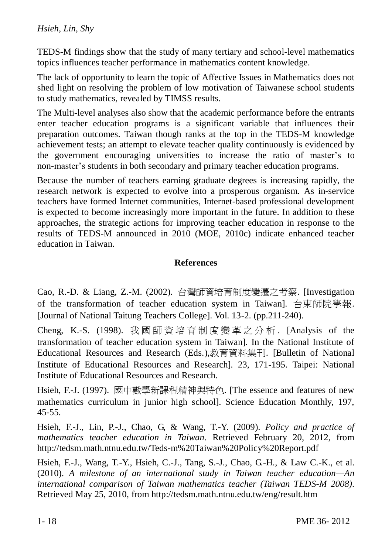TEDS-M findings show that the study of many tertiary and school-level mathematics topics influences teacher performance in mathematics content knowledge.

The lack of opportunity to learn the topic of Affective Issues in Mathematics does not shed light on resolving the problem of low motivation of Taiwanese school students to study mathematics, revealed by TIMSS results.

The Multi-level analyses also show that the academic performance before the entrants enter teacher education programs is a significant variable that influences their preparation outcomes. Taiwan though ranks at the top in the TEDS-M knowledge achievement tests; an attempt to elevate teacher quality continuously is evidenced by the government encouraging universities to increase the ratio of master's to non-master's students in both secondary and primary teacher education programs.

Because the number of teachers earning graduate degrees is increasing rapidly, the research network is expected to evolve into a prosperous organism. As in-service teachers have formed Internet communities, Internet-based professional development is expected to become increasingly more important in the future. In addition to these approaches, the strategic actions for improving teacher education in response to the results of TEDS-M announced in 2010 (MOE, 2010c) indicate enhanced teacher education in Taiwan.

### **References**

Cao, R.-D. & Liang, Z.-M. (2002). 台灣師資培育制度變遷之考察. [Investigation of the transformation of teacher education system in Taiwan]. 台東師院學報. [Journal of National Taitung Teachers College]. Vol. 13-2. (pp.211-240).

Cheng, K.-S. (1998). 我 國 師 資 培 育 制 度 變 革 之 分 析 . [Analysis of the transformation of teacher education system in Taiwan]. In the National Institute of Educational Resources and Research (Eds.),教育資料集刊. [Bulletin of National Institute of Educational Resources and Research]. 23, 171-195. Taipei: National Institute of Educational Resources and Research.

Hsieh, F.-J. (1997). 國中數學新課程精神與特色. [The essence and features of new mathematics curriculum in junior high school]. Science Education Monthly, 197, 45-55.

Hsieh, F.-J., Lin, P.-J., Chao, G, & Wang, T.-Y. (2009). *Policy and practice of mathematics teacher education in Taiwan*. Retrieved February 20, 2012, from http://tedsm.math.ntnu.edu.tw/Teds-m%20Taiwan%20Policy%20Report.pdf

Hsieh, F.-J., Wang, T.-Y., Hsieh, C.-J., Tang, S.-J., Chao, G.-H., & Law C.-K., et al. (2010). *A milestone of an international study in Taiwan teacher education—An international comparison of Taiwan mathematics teacher (Taiwan TEDS-M 2008)*. Retrieved May 25, 2010, from http://tedsm.math.ntnu.edu.tw/eng/result.htm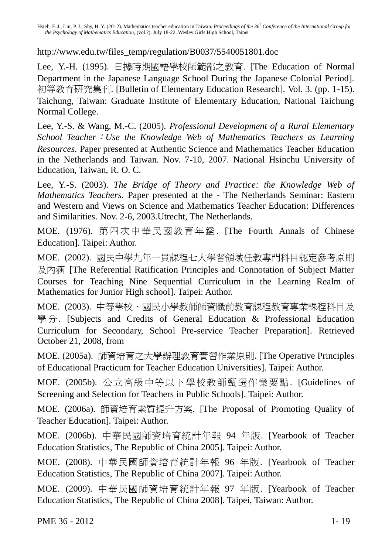http://www.edu.tw/files\_temp/regulation/B0037/5540051801.doc

Lee, Y.-H. (1995). 日據時期國語學校師範部之教育. [The Education of Normal Department in the Japanese Language School During the Japanese Colonial Period]. 初等教育研究集刊. [Bulletin of Elementary Education Research]. Vol. 3. (pp. 1-15). Taichung, Taiwan: Graduate Institute of Elementary Education, National Taichung Normal College.

Lee, Y.-S. & Wang, M.-C. (2005). *Professional Development of a Rural Elementary School Teacher*:*Use the Knowledge Web of Mathematics Teachers as Learning Resources.* Paper presented at Authentic Science and Mathematics Teacher Education in the Netherlands and Taiwan. Nov. 7-10, 2007. National Hsinchu University of Education, Taiwan, R. O. C.

Lee, Y.-S. (2003). *The Bridge of Theory and Practice: the Knowledge Web of Mathematics Teachers.* Paper presented at the - The Netherlands Seminar: Eastern and Western and Views on Science and Mathematics Teacher Education: Differences and Similarities. Nov. 2-6, 2003.Utrecht, The Netherlands.

MOE. (1976). 第四 次中 華民 國教 育 年鑑 . [The Fourth Annals of Chinese Education]. Taipei: Author.

MOE. (2002). 國民中學九年一貫課程七大學習領域任教專門科目認定參考原則 及內涵 [The Referential Ratification Principles and Connotation of Subject Matter Courses for Teaching Nine Sequential Curriculum in the Learning Realm of Mathematics for Junior High school]. Taipei: Author.

MOE. (2003). 中等學校、國民小學教師師資職前教育課程教育專業課程科目及 學 分. [Subjects and Credits of General Education & Professional Education Curriculum for Secondary, School Pre-service Teacher Preparation]. Retrieved October 21, 2008, from

MOE. (2005a). 師資培育之大學辦理教育實習作業原則. [The Operative Principles of Educational Practicum for Teacher Education Universities]. Taipei: Author.

MOE. (2005b). 公立高級中等以下學校教師甄選作業要點. [Guidelines of Screening and Selection for Teachers in Public Schools]. Taipei: Author.

MOE. (2006a). 師資培育素質提升方案. [The Proposal of Promoting Quality of Teacher Education]. Taipei: Author.

MOE. (2006b). 中華民國師資培育統計年報 94 年版. [Yearbook of Teacher Education Statistics, The Republic of China 2005]. Taipei: Author.

MOE. (2008). 中華民國師資培育統計年報 96 年版. [Yearbook of Teacher Education Statistics, The Republic of China 2007]. Taipei: Author.

MOE. (2009). 中華民國師資培育統計年報 97 年版. [Yearbook of Teacher Education Statistics, The Republic of China 2008]. Taipei, Taiwan: Author.